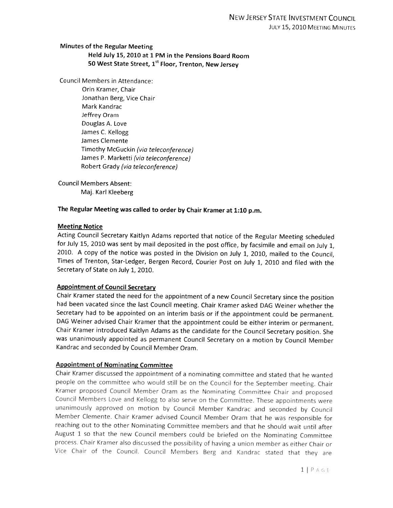# Minutes of the Regular Meeting Held July 15, 2010 at 1 PM in the Pensions Board Room 50 West State Street, 1<sup>st</sup> Floor, Trenton, New Jersey

Council Members in Attendance:

Grin Kramer, Chair Jonathan Berg, Vice Chair Mark Kandrac Jeffrey Gram Douglas A. Love James C. Kellogg James Clemente Timothy McGuckin (via teleconference) James P. Marketti (via teleconference) Robert Grady (via teleconference)

Council Members Absent: Maj. Karl Kleeberg

## The Regular Meeting was called to order by Chair Kramer at 1:10 p.m.

### Meeting Notice

Acting Council Secretary Kaitlyn Adams reported that notice of the Regular Meeting scheduled for July 15, <sup>2010</sup> was sent by mail deposited in the post office, by facsimile and email on July 1, 2010. <sup>A</sup> copy of the notice was posted in the Division on July 1, 2010, mailed to the Council, Times of Trenton, Star-Ledger, Bergen Record, Courier Post on July 1, <sup>2010</sup> and filed with the Secretary of State on July 1, 2010.

## Appointment of Council Secretary

Chair Kramer stated the need for the appointment of <sup>a</sup> new Council Secretary since the position had been vacated since the last Council meeting. Chair Kramer asked DAG Weiner whether the Secretary had to be appointed on an interim basis or if the appointment could be permanent. DAG Weiner advised Chair Kramer that the appointment could be either interim or permanent. Chair Kramer introduced Kaitlyn Adams as the candidate for the Council Secretary position. She was unanimously appointed as permanent Council Secretary on <sup>a</sup> motion by Council Member Kandrac and seconded by Council Member Gram.

## Appointment of Nominating Committee

Chair Kramer discussed the appointment of <sup>a</sup> nominating committee and stated that he wanted people on the committee who would still be on the Council for the September meeting. Chair Kramer proposed Council Member Oram as the Nominating Committee Chair and proposed Council Members Love and Kellogg to also serve on the Committee. These appointments were unanimously approved on motion by Council Member Kandrac and seconded by Council Member Clemente. Chair Kramer advised Council Member Oram that he was responsible for reaching out to the other Nominating Committee members and that he should wait until after August <sup>1</sup> so that the new Council members could be briefed on the Nominating Committee process. Chair Kramer also discussed the possibility of having a union member as either Chair or Vice Chair of the Council. Council Members Berg and Kandrac stated that they are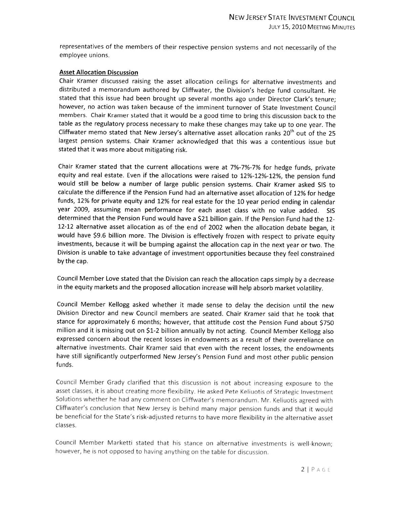representatives of the members of their respective pension systems and not necessarily of the employee unions.

### Asset Allocation Discussion

Chair Kramer discussed raising the asset allocation ceilings for alternative investments and distributed <sup>a</sup> memorandum authored by Cliffwater, the Division's hedge fund consultant. He stated that this issue had been brought up several months ago under Director Clark's tenure; however, no action was taken because of the imminent turnover of State Investment Council members. Chair Kramer stated that it would be <sup>a</sup> good time to bring this discussion back to the table as the regulatory process necessary to make these changes may take up to one year. The Cliffwater memo stated that New Jersey's alternative asset allocation ranks  $20<sup>th</sup>$  out of the 25 largest pension systems. Chair Kramer acknowledged that this was <sup>a</sup> contentious issue but stated that it was more about mitigating risk.

Chair Kramer stated that the current allocations were at 7%-7%-7% for hedge funds, private equity and real estate. Even if the allocations were raised to 12%-12%-12%, the pension fund would still be below <sup>a</sup> number of large public pension systems. Chair Kramer asked SIS to calculate the difference if the Pension Fund had an alternative asset allocation of 12% for hedge funds, 12% for private equity and 12% for real estate for the <sup>10</sup> year period ending in calendar year 2009, assuming mean performance for each asset class with no value added. 515 determined that the Pension Fund would have <sup>a</sup> \$21 billion gain. If the Pension Fund had the 12- 12-12 alternative asset allocation as of the end of <sup>2002</sup> when the allocation debate began, it would have \$9.6 billion more. The Division is effectively frozen with respect to private equity investments, because it will be bumping against the allocation cap in the next year or two. The Division is unable to take advantage of investment opportunities because they feel constrained by the cap.

Council Member Love stated that the Division can reach the allocation caps simply by <sup>a</sup> decrease in the equity markets and the proposed allocation increase will help absorb market volatility.

Council Member Kellogg asked whether it made sense to delay the decision until the new Division Director and new Council members are seated. Chair Kramer said that he took that stance for approximately <sup>6</sup> months; however, that attitude cost the Pension Fund about \$750 million and it is missing out on \$1-2 billion annually by not acting. Council Member Kellogg also expressed concern about the recent losses in endowments as <sup>a</sup> result of their overreliance on alternative investments. Chair Kramer said that even with the recent losses, the endowments have still significantly outperformed New Jersey's Pension Fund and most other public pension funds.

Council Member Grady clarified that this discussion is not about increasing exposure to the asset classes, it is about creating more flexibility. He asked Pete Keliuotis of Strategic Investment Solutions whether he had any comment on Ciiffwater's memorandum, Mr. Keliuotis agreed with Cliffwater's conclusion that New Jersey is behind many major pension funds and that it would be beneficial for the State's risk-adjusted returns to have more flexibility in the alternative asset classes.

Council Member Marketti stated that his stance on alternative investments is well-known; however, he is not opposed to having anything on the table for discussion.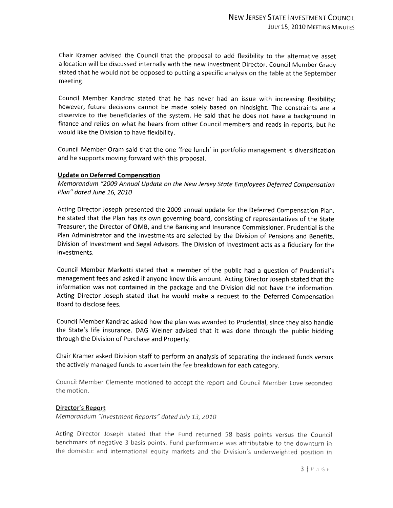Chair Kramer advised the Council that the proposa<sup>l</sup> to add flexibility to the alternative asset allocation will be discussed internally with the new Investment Director. Council Member Grady stated that he would not be oppose<sup>d</sup> to putting <sup>a</sup> specific analysis on the table at the September meeting.

Council Member Kandrac stated that he has never had an issue with increasing flexibility; however, future decisions cannot be made solely based on hindsight. The constraints are <sup>a</sup> disservice to the beneficiaries of the system. He said that he does not have <sup>a</sup> background in finance and relies on what he hears from other Council members and reads in reports, but he would like the Division to have flexibility.

Council Member Oram said that the one 'free lunch' in portfolio managemen<sup>t</sup> is diversification and he supports moving forward with this proposal.

### Update on Deferred Compensation

Memorandum "2009 Annual Update on the New Jersey State Employees Deferred Compensation Plan" dated June 16, 2010

Acting Director Joseph presented the <sup>2009</sup> annual update for the Deferred Compensation Plan. He stated that the Plan has its own governing board, consisting of representatives of the State Treasurer, the Director of 0MB, and the Banking and Insurance Commissioner. Prudential is the Plan Administrator and the investments are selected by the Division of Pensions and Benefits, Division of Investment and Segal Advisors. The Division of Investment acts as <sup>a</sup> fiduciary for the investments.

Council Member Marketti stated that <sup>a</sup> member of the public had <sup>a</sup> question of Prudential's managemen<sup>t</sup> fees and asked if anyone knew this amount. Acting Director Joseph stated that the information was not contained in the package and the Division did not have the information. Acting Director Joseph stated that he would make <sup>a</sup> reques<sup>t</sup> to the Deferred Compensation Board to disclose fees.

Council Member Kandrac asked how the <sup>p</sup>lan was awarded to Prudential, since they also handle the State's life insurance. DAG Weiner advised that it was done through the public bidding through the Division of Purchase and Property.

Chair Kramer asked Division staff to perform an analysis of separating the indexed funds versus the actively manage<sup>d</sup> funds to ascertain the fee breakdown for each category.

Council Member Clemente motioned to accept the report and Council Member Love seconded the motion.

#### Director's Report

Memorandum "investment Reports" doted July 13, <sup>2010</sup>

Acting Director Joseph stated that the Fund returned <sup>58</sup> basis points versus the Counci' benchmark of negative <sup>3</sup> basis points. Fund performance was attributable to the downturn in the domestic and international equity markets and the Division's underweighted position in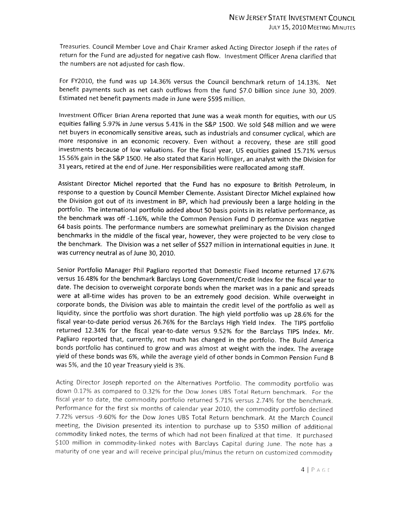Treasuries. Council Member Love and Chair Kramer asked Acting Director Joseph if the rates of return for the Fund are adjusted for negative cash flow. Investment Officer Arena clarified that the numbers are not adjusted for cash flow.

For FY2O1O, the fund was up 14.36% versus the Council benchmark return of 14.13%. Net benefit payments such as net cash outflows from the fund \$7.0 billion since June 30, 2009. Estimated net benefit payments made in June were \$595 million.

Investment Officer Brian Arena reported that June was <sup>a</sup> weak month for equities, with our US equities falling 5.97% in June versus 5.41% in the S&P 1500. We sold \$48 million and we were net buyers in economically sensitive areas, such as industrials and consumer cyclical, which are more responsive in an economic recovery. Even without <sup>a</sup> recovery, these are still good investments because of low valuations. For the fiscal year, US equities gained 15.71% versus 15.56% gain in the S&P 1500. He also stated that Karin Hollinger, an analyst with the Division for <sup>31</sup> years, retired at the end of June. Her responsibilities were reallocated among staff.

Assistant Director Michel reported that the Fund has no exposure to British Petroleum, in response to <sup>a</sup> question by Council Member Clemente. Assistant Director Michel explained how the Division got out of its investment in BP, which had previously been <sup>a</sup> large holding in the portfolio. The international portfolio added about <sup>50</sup> basis points in its relative performance, as the benchmark was off -1.16%, while the Common Pension Fund <sup>D</sup> performance was negative <sup>64</sup> basis points. The performance numbers are somewhat preliminary as the Division changed benchmarks in the middle of the fiscal year, however, they were projected to be very close to the benchmark. The Division was <sup>a</sup> net seller of \$527 million in international equities in June. It was currency neutral as of June 30, 2010,

Senior Portfolio Manager Phil Pagliaro reported that Domestic Fixed Income returned 17.67% versus 16.48% for the benchmark Barclays Long Government/Credit Index for the fiscal year to date. The decision to overweight corporate bonds when the market was in <sup>a</sup> panic and spreads were at all-time wides has proven to be an extremely good decision. While overweight in corporate bonds, the Division was able to maintain the credit level of the portfolio as well as liquidity, since the portfolio was short duration. The high <sup>y</sup>ield portfolio was up 28.6% for the fiscal year-to-date period versus 26,76% for the Barclays High Yield Index. The TIPS portfolio returned 12.34% for the fiscal year-to-date versus 9.52% for the Barclays TIPS Index. Mr. Pagliaro reported that, currently, not much has changed in the portfolio. The Build America bonds portfolio has continued to grow and was almost at weight with the index. The average <sup>y</sup>ield of these bonds was 6%, while the average <sup>y</sup>ield of other bonds in Common Pension Fund <sup>B</sup> was 5%, and the 10 year Treasury <sup>y</sup>ield is 3%.

Acting Director Joseph reported on the Alternatives Portfolio. The commodity portfolio was down 017% as compared to 0,32% for the Dow Jones UBS. Total Return benchmark. For the fiscal year to date, the commodity portfolio returned 5.71% versus 2.74% for the benchmark. Performance for the first six months of calendar year 2010, the commodity portfolio declined 7.72% versus -9.60% for the Dow Jones UBS Total Return benchmark. At the March Council meeting, the Division presented its intention to purchase up to \$350 million of additional commodity linked notes, the terms of which had not been finalized at that time. It purchased \$100 million in commodity-linked notes with Barclays Capital during June. The note has a maturity of one year and will receive principal plus/minus the return on customized commodity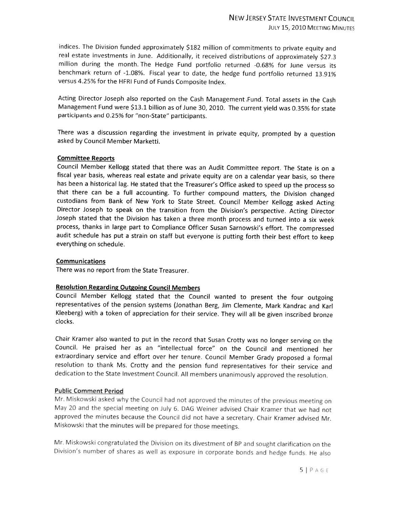indices, The Division funded approximately \$182 million of commitments to private equity and real estate investments in June. Additionally, it received distributions of approximately \$27.3 million during the month. The Hedge Fund portfolio returned -0.68% for June versus its benchmark return of -1.08%. Fiscal year to date, the hedge fund portfolio returned 13.91% versus 4.25% for the HFRI Fund of Funds Composite Index.

Acting Director Joseph also reported on the Cash Management .Fund. Total assets in the Cash Management Fund were \$13.1 billion as of June 30, 2010. The current <sup>y</sup>ield was 0.35% for state participants and 0.25% for "non-State" participants.

There was <sup>a</sup> discussion regarding the investment in private equity, prompted by <sup>a</sup> question asked by Council Member Marketti.

## Committee Reports

Council Member Kellogg stated that there was an Audit Committee report. The State is on <sup>a</sup> fiscal year basis, whereas real estate and private equity are on <sup>a</sup> calendar year basis, so there has been <sup>a</sup> historical lag. He stated that the Treasurer's Office asked to speed up the process so that there can be <sup>a</sup> full accounting. To further compound matters, the Division changed custodians from Bank of New York to State Street. Council Member Kellogg asked Acting Director Joseph to speak on the transition from the Division's perspective. Acting Director Joseph stated that the Division has taken <sup>a</sup> three month process and turned into <sup>a</sup> six week process, thanks in large part to Compliance Officer Susan Sarnowski's effort. The compressed audit schedule has put <sup>a</sup> strain on staff but everyone is putting forth their best effort to keep everything on schedule.

## **Communications**

There was no report from the State Treasurer.

# Resolution Regarding Outgoing Council Members

Council Member Kellogg stated that the Council wanted to present the four outgoing representatives of the pension systems (Jonathan Berg, Jim Clemente, Mark Kandrac and Karl Kleeberg) with <sup>a</sup> token of appreciation for their service. They will all be <sup>g</sup>iven inscribed bronze clocks.

Chair Kramer also wanted to put in the record that Susan Crotty was no longer serving on the Council. He praised her as an "intellectual force" on the Council and mentioned her extraordinary service and effort over her tenure. Council Member Grady proposed <sup>a</sup> formal resolution to thank Ms. Crotty and the pension fund representatives for their service and dedication to the State Investment Council. All members unanimously approved the resolution.

## Public Comment Period

Mr. Miskowski asked why the Council had not approved the minutes of the previous meeting on May 20 and the special meeting on July 6. DAG Weiner advised Chair Kramer that we had not approved the minutes because the Council did not have <sup>a</sup> secretary. Chair Kramer advised Mr. Miskowski that the minutes will be prepared for those meetings.

Mr. Miskowski congratulated the Division on its divestment of BP and sought clarification on the Division's number of shares as well as exposure in corporate bonds and hedge funds.. He also